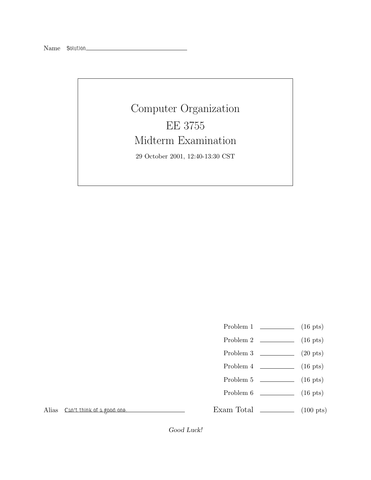## Computer Organization EE 3755 Midterm Examination 29 October 2001, 12:40-13:30 CST

- Problem 1  $\qquad \qquad$  (16 pts)
- Problem 2 (16 pts)
- Problem 3 (20 pts)
- Problem  $4 \t\t(16 \text{ pts})$
- Problem 5 (16 pts)
- Problem 6 (16 pts)

Alias *Can't think of a good one.*

Exam Total \_\_\_\_\_\_\_\_\_\_\_\_\_ (100 pts)

Good Luck!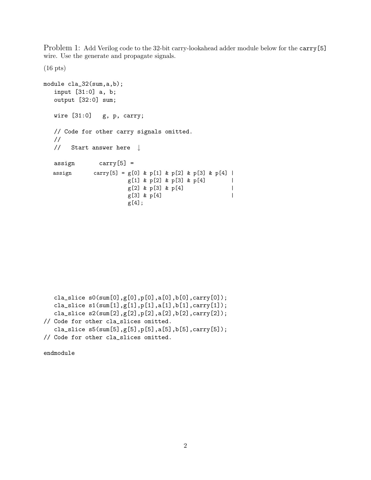Problem 1: Add Verilog code to the 32-bit carry-lookahead adder module below for the carry[5] wire. Use the generate and propagate signals.

```
module cla_32(sum,a,b);
  input [31:0] a, b;
  output [32:0] sum;
  wire [31:0] g, p, carry;
  // Code for other carry signals omitted.
  //
  // Start answer here ↓
  assign carry[5] =
  assign carry[5] = g[0] & p[1] & p[2] & p[3] & p[4] |
                     g[1] & p[2] & p[3] & p[4] |
                     g[2] & p[3] & p[4] |
                     g[3] & p[4] |
                     g[4];
```

```
cla_slice s0(sum[0],g[0],p[0],a[0],b[0],carry[0]);
  cla_slice s1(sum[1],g[1],p[1],a[1],b[1],carry[1]);
   cla_slice s2(sum[2],g[2],p[2],a[2],b[2],carry[2]);
// Code for other cla_slices omitted.
   cla_slice s5(sum[5],g[5],p[5],a[5],b[5],carry[5]);
// Code for other cla_slices omitted.
```
endmodule

(16 pts)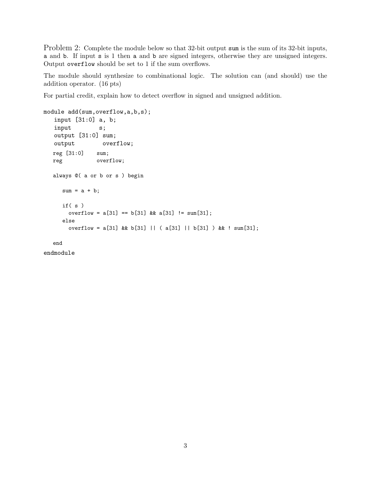Problem 2: Complete the module below so that 32-bit output sum is the sum of its 32-bit inputs, a and b. If input s is 1 then a and b are signed integers, otherwise they are unsigned integers. Output overflow should be set to 1 if the sum overflows.

The module should synthesize to combinational logic. The solution can (and should) use the addition operator. (16 pts)

For partial credit, explain how to detect overflow in signed and unsigned addition.

```
module add(sum,overflow,a,b,s);
   input [31:0] a, b;
   input s;
  output [31:0] sum;
  output overflow;
  reg [31:0] sum;
  reg overflow;
  always @( a or b or s ) begin
     sum = a + b;
     if( s )
       overflow = a[31] == b[31] & a[31] != sum[31];
     else
       overflow = a[31] && b[31] || ( a[31] || b[31] ) && ! sum[31];
```
end

endmodule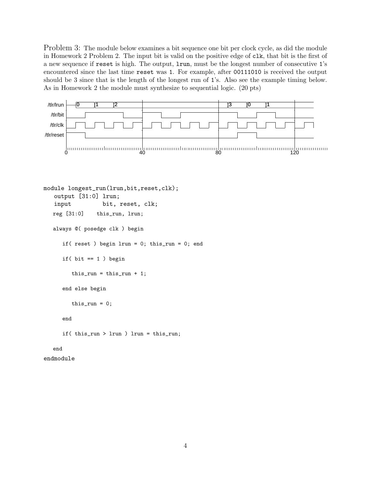Problem 3: The module below examines a bit sequence one bit per clock cycle, as did the module in Homework 2 Problem 2. The input bit is valid on the positive edge of clk, that bit is the first of a new sequence if reset is high. The output, lrun, must be the longest number of consecutive 1's encountered since the last time reset was 1. For example, after 00111010 is received the output should be 3 since that is the length of the longest run of 1's. Also see the example timing below. As in Homework 2 the module must synthesize to sequential logic. (20 pts)



```
module longest_run(lrun,bit,reset,clk);
   output [31:0] lrun;
   input bit, reset, clk;
  reg [31:0] this_run, lrun;
  always @( posedge clk ) begin
     if( reset ) begin lrun = 0; this_run = 0; end
     if( bit == 1 ) begin
        this_run = this_run + 1;
     end else begin
        this_run = 0;
     end
     if( this_run > lrun ) lrun = this_run;
  end
endmodule
```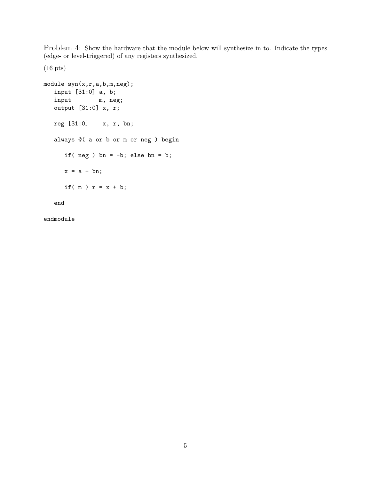Problem 4: Show the hardware that the module below will synthesize in to. Indicate the types (edge- or level-triggered) of any registers synthesized.

(16 pts)

```
module syn(x,r,a,b,m,neg);
  input [31:0] a, b;
  input m, neg;
  output [31:0] x, r;
  reg [31:0] x, r, bn;
  always @( a or b or m or neg ) begin
     if( neg ) bn = -b; else bn = b;
     x = a + bn;if(m) r = x + b;
  end
```
endmodule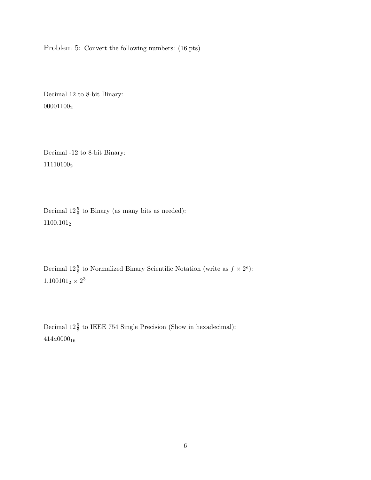Problem 5: Convert the following numbers: (16 pts)

Decimal 12 to 8-bit Binary:  $00001100_2$ 

Decimal -12 to 8-bit Binary: 11110100<sup>2</sup>

Decimal  $12\frac{5}{8}$  to Binary (as many bits as needed):  $1100.101_{\mathrm{2}}$ 

Decimal  $12\frac{5}{8}$  to Normalized Binary Scientific Notation (write as  $f \times 2^e$ ):  $1.100101_2 \times 2^3$ 

Decimal  $12\frac{5}{8}$  to IEEE 754 Single Precision (Show in hexadecimal):  $414a0000_{16}$